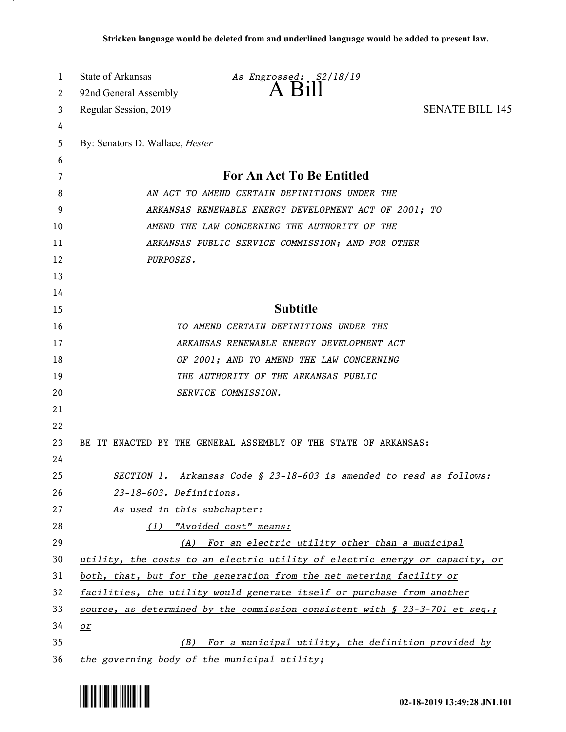| 1  | State of Arkansas                      | As Engrossed: S2/18/19                                                         |                        |
|----|----------------------------------------|--------------------------------------------------------------------------------|------------------------|
| 2  | 92nd General Assembly                  | $A$ $B1II$                                                                     |                        |
| 3  | Regular Session, 2019                  |                                                                                | <b>SENATE BILL 145</b> |
| 4  |                                        |                                                                                |                        |
| 5  | By: Senators D. Wallace, <i>Hester</i> |                                                                                |                        |
| 6  |                                        |                                                                                |                        |
| 7  |                                        | For An Act To Be Entitled                                                      |                        |
| 8  |                                        | AN ACT TO AMEND CERTAIN DEFINITIONS UNDER THE                                  |                        |
| 9  |                                        | ARKANSAS RENEWABLE ENERGY DEVELOPMENT ACT OF 2001; TO                          |                        |
| 10 |                                        | AMEND THE LAW CONCERNING THE AUTHORITY OF THE                                  |                        |
| 11 |                                        | ARKANSAS PUBLIC SERVICE COMMISSION; AND FOR OTHER                              |                        |
| 12 | PURPOSES.                              |                                                                                |                        |
| 13 |                                        |                                                                                |                        |
| 14 |                                        |                                                                                |                        |
| 15 |                                        | <b>Subtitle</b>                                                                |                        |
| 16 |                                        | TO AMEND CERTAIN DEFINITIONS UNDER THE                                         |                        |
| 17 |                                        | ARKANSAS RENEWABLE ENERGY DEVELOPMENT ACT                                      |                        |
| 18 |                                        | OF 2001; AND TO AMEND THE LAW CONCERNING                                       |                        |
| 19 |                                        | THE AUTHORITY OF THE ARKANSAS PUBLIC                                           |                        |
| 20 |                                        | SERVICE COMMISSION.                                                            |                        |
| 21 |                                        |                                                                                |                        |
| 22 |                                        |                                                                                |                        |
| 23 |                                        | BE IT ENACTED BY THE GENERAL ASSEMBLY OF THE STATE OF ARKANSAS:                |                        |
| 24 |                                        |                                                                                |                        |
| 25 |                                        | SECTION 1. Arkansas Code § 23-18-603 is amended to read as follows:            |                        |
| 26 | 23-18-603. Definitions.                |                                                                                |                        |
| 27 | As used in this subchapter:            |                                                                                |                        |
| 28 |                                        | (1) "Avoided cost" means:                                                      |                        |
| 29 | (A)                                    | For an electric utility other than a municipal                                 |                        |
| 30 |                                        | utility, the costs to an electric utility of electric energy or capacity, or   |                        |
| 31 |                                        | both, that, but for the generation from the net metering facility or           |                        |
| 32 |                                        | facilities, the utility would generate itself or purchase from another         |                        |
| 33 |                                        | source, as determined by the commission consistent with $\S$ 23-3-701 et seq.; |                        |
| 34 | $or$                                   |                                                                                |                        |
| 35 | (B)                                    | For a municipal utility, the definition provided by                            |                        |
| 36 |                                        | the governing body of the municipal utility;                                   |                        |

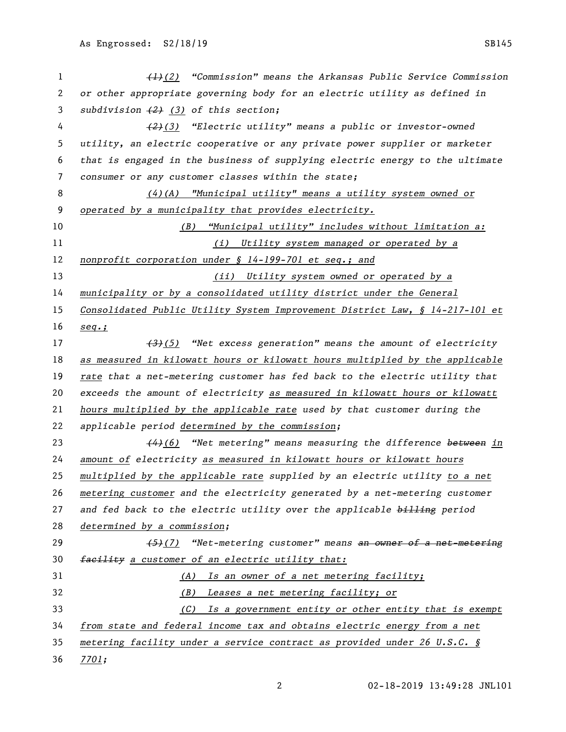| 1  | $\left(\frac{1}{2}\right)$ "Commission" means the Arkansas Public Service Commission |
|----|--------------------------------------------------------------------------------------|
| 2  | or other appropriate governing body for an electric utility as defined in            |
| 3  | subdivision $(2)$ $(3)$ of this section;                                             |
| 4  | $(2)(3)$ "Electric utility" means a public or investor-owned                         |
| 5  | utility, an electric cooperative or any private power supplier or marketer           |
| 6  | that is engaged in the business of supplying electric energy to the ultimate         |
| 7  | consumer or any customer classes within the state;                                   |
| 8  | $(4)$ (A) "Municipal utility" means a utility system owned or                        |
| 9  | operated by a municipality that provides electricity.                                |
| 10 | <u>"Municipal utility" includes without limitation a:</u><br>(B)                     |
| 11 | (i) Utility system managed or operated by a                                          |
| 12 | nonprofit corporation under § 14-199-701 et seq.; and                                |
| 13 | (ii) Utility system owned or operated by a                                           |
| 14 | municipality or by a consolidated utility district under the General                 |
| 15 | Consolidated Public Utility System Improvement District Law, § 14-217-101 et         |
| 16 | $seq.$ ;                                                                             |
| 17 | $\overbrace{3}$ (5) "Net excess generation" means the amount of electricity          |
| 18 | as measured in kilowatt hours or kilowatt hours multiplied by the applicable         |
| 19 | rate that a net-metering customer has fed back to the electric utility that          |
| 20 | exceeds the amount of electricity as measured in kilowatt hours or kilowatt          |
| 21 | hours multiplied by the applicable rate used by that customer during the             |
| 22 | applicable period determined by the commission;                                      |
| 23 | $\frac{44}{6}$ "Net metering" means measuring the difference between in              |
| 24 | amount of electricity as measured in kilowatt hours or kilowatt hours                |
| 25 | multiplied by the applicable rate supplied by an electric utility to a net           |
| 26 | metering customer and the electricity generated by a net-metering customer           |
| 27 | and fed back to the electric utility over the applicable billing period              |
| 28 | determined by a commission;                                                          |
| 29 | $(5)$ (7) "Net-metering customer" means an owner of a net-metering                   |
| 30 | facility a customer of an electric utility that:                                     |
| 31 | (A) Is an owner of a net metering facility;                                          |
| 32 | (B) Leases a net metering facility; or                                               |
| 33 | (C) Is a government entity or other entity that is exempt                            |
| 34 | from state and federal income tax and obtains electric energy from a net             |
| 35 | metering facility under a service contract as provided under 26 U.S.C. §             |
| 36 | <u>7701;</u>                                                                         |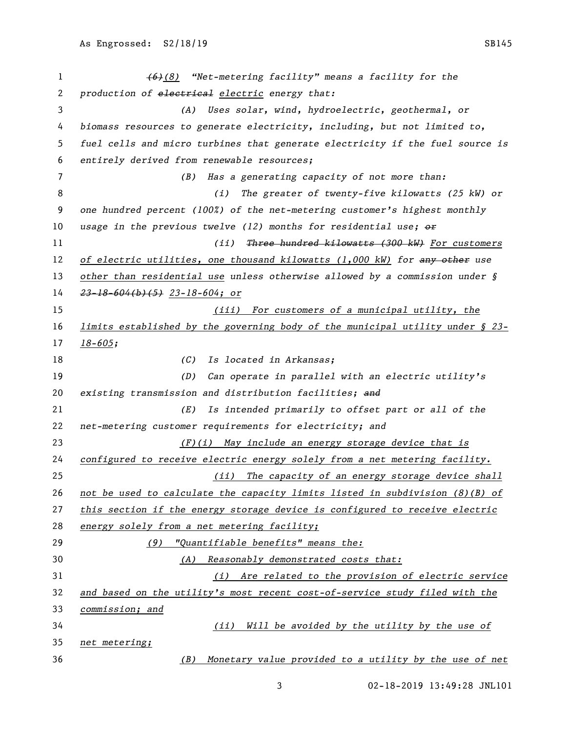| 1  | $(6)(8)$ "Net-metering facility" means a facility for the                        |
|----|----------------------------------------------------------------------------------|
| 2  | production of electrical electric energy that:                                   |
| 3  | (A) Uses solar, wind, hydroelectric, geothermal, or                              |
| 4  | biomass resources to generate electricity, including, but not limited to,        |
| 5  | fuel cells and micro turbines that generate electricity if the fuel source is    |
| 6  | entirely derived from renewable resources;                                       |
| 7  | Has a generating capacity of not more than:<br>(B)                               |
| 8  | The greater of twenty-five kilowatts (25 kW) or<br>(i)                           |
| 9  | one hundred percent (100%) of the net-metering customer's highest monthly        |
| 10 | usage in the previous twelve (12) months for residential use; $\theta$           |
| 11 | (iii)<br>Three hundred kilowatts (300 kW) For customers                          |
| 12 | of electric utilities, one thousand kilowatts (1,000 kW) for any other use       |
| 13 | other than residential use unless otherwise allowed by a commission under $\S$   |
| 14 | $23 - 18 - 604$ (b) (5) $23 - 18 - 604$ ; or                                     |
| 15 | (iii) For customers of a municipal utility, the                                  |
| 16 | limits established by the governing body of the municipal utility under $\S$ 23- |
| 17 | $18 - 605;$                                                                      |
| 18 | (C)<br>Is located in Arkansas;                                                   |
| 19 | Can operate in parallel with an electric utility's<br>(D)                        |
| 20 | existing transmission and distribution facilities; and                           |
| 21 | Is intended primarily to offset part or all of the<br>(E)                        |
| 22 | net-metering customer requirements for electricity; and                          |
| 23 | (F)(i) May include an energy storage device that is                              |
| 24 | configured to receive electric energy solely from a net metering facility.       |
| 25 | (ii) The capacity of an energy storage device shall                              |
| 26 | not be used to calculate the capacity limits listed in subdivision $(8)(B)$ of   |
| 27 | this section if the energy storage device is configured to receive electric      |
| 28 | energy solely from a net metering facility;                                      |
| 29 | "Quantifiable benefits" means the:<br>(9)                                        |
| 30 | (A) Reasonably demonstrated costs that:                                          |
| 31 | (i) Are related to the provision of electric service                             |
| 32 | and based on the utility's most recent cost-of-service study filed with the      |
| 33 | commission; and                                                                  |
| 34 | Will be avoided by the utility by the use of<br>(ii)                             |
| 35 | net metering;                                                                    |
| 36 | Monetary value provided to a utility by the use of net<br>(B)                    |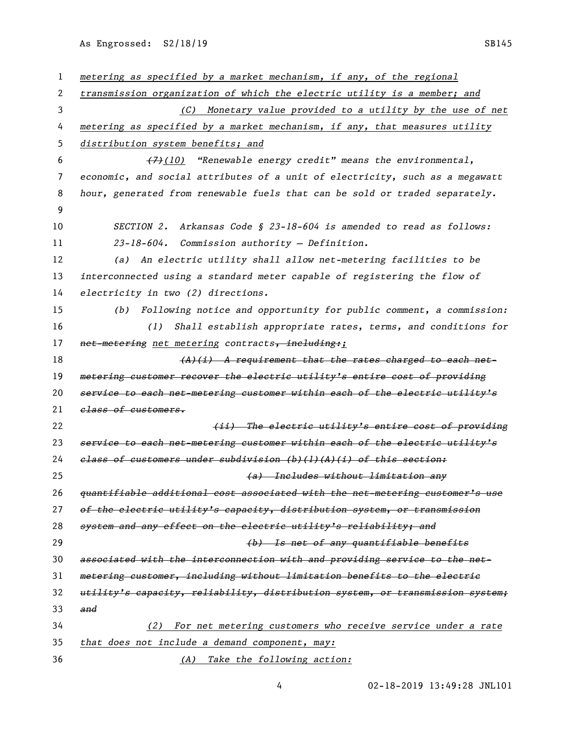As Engrossed: S2/18/19 SB145

| 1  | metering as specified by a market mechanism, if any, of the regional          |
|----|-------------------------------------------------------------------------------|
| 2  | transmission organization of which the electric utility is a member; and      |
| 3  | (C) Monetary value provided to a utility by the use of net                    |
| 4  | metering as specified by a market mechanism, if any, that measures utility    |
| 5  | distribution system benefits; and                                             |
| 6  | $(7)$ (10) "Renewable energy credit" means the environmental,                 |
| 7  | economic, and social attributes of a unit of electricity, such as a megawatt  |
| 8  | hour, generated from renewable fuels that can be sold or traded separately.   |
| 9  |                                                                               |
| 10 | Arkansas Code § 23-18-604 is amended to read as follows:<br><i>SECTION 2.</i> |
| 11 | 23-18-604. Commission authority - Definition.                                 |
| 12 | (a) An electric utility shall allow net-metering facilities to be             |
| 13 | interconnected using a standard meter capable of registering the flow of      |
| 14 | electricity in two (2) directions.                                            |
| 15 | Following notice and opportunity for public comment, a commission:<br>(b)     |
| 16 | Shall establish appropriate rates, terms, and conditions for<br>(1)           |
| 17 | net-metering net metering contracts, including:;                              |
| 18 | $(A)$ (i) A requirement that the rates charged to each net-                   |
| 19 | metering customer recover the electric utility's entire cost of providing     |
| 20 | service to each net-metering customer within each of the electric utility's   |
| 21 | class of customers.                                                           |
| 22 | (ii) The electric utility's entire cost of providing                          |
| 23 | service to each net-metering customer within each of the electric utility's   |
| 24 | elass of customers under subdivision (b)(l)(A)(i) of this section:            |
| 25 | (a) Includes without limitation any                                           |
| 26 | quantifiable additional cost associated with the net-metering customer's use  |
| 27 | of the electric utility's capacity, distribution system, or transmission      |
| 28 | system and any effect on the electric utility's reliability; and              |
| 29 | (b) Is net of any quantifiable benefits                                       |
| 30 | associated with the interconnection with and providing service to the net-    |
| 31 | metering customer, including without limitation benefits to the electric      |
| 32 | utility's capacity, reliability, distribution system, or transmission system; |
| 33 | and                                                                           |
| 34 | For net metering customers who receive service under a rate<br>(2)            |
| 35 | that does not include a demand component, may:                                |
| 36 | (A) Take the following action:                                                |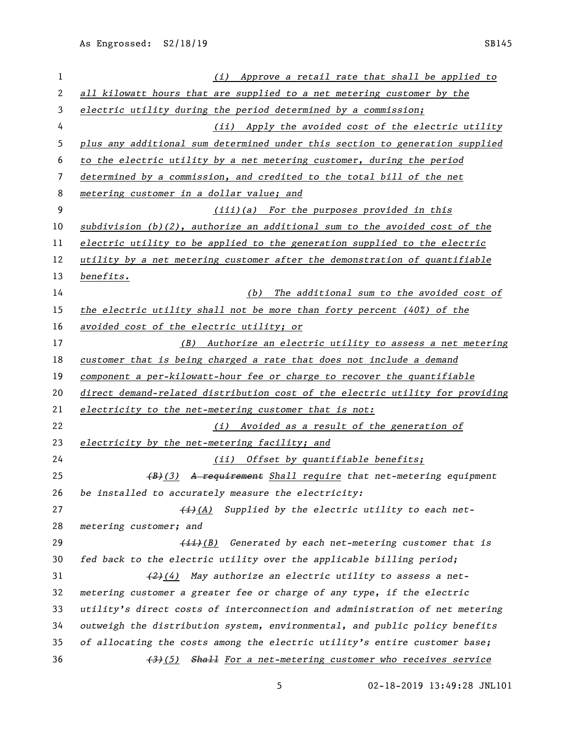*(i) Approve a retail rate that shall be applied to all kilowatt hours that are supplied to a net metering customer by the electric utility during the period determined by a commission; (ii) Apply the avoided cost of the electric utility plus any additional sum determined under this section to generation supplied to the electric utility by a net metering customer, during the period determined by a commission, and credited to the total bill of the net metering customer in a dollar value; and (iii)(a) For the purposes provided in this subdivision (b)(2), authorize an additional sum to the avoided cost of the electric utility to be applied to the generation supplied to the electric utility by a net metering customer after the demonstration of quantifiable benefits. (b) The additional sum to the avoided cost of the electric utility shall not be more than forty percent (40%) of the avoided cost of the electric utility; or (B) Authorize an electric utility to assess a net metering customer that is being charged a rate that does not include a demand component a per-kilowatt-hour fee or charge to recover the quantifiable direct demand-related distribution cost of the electric utility for providing electricity to the net-metering customer that is not: (i) Avoided as a result of the generation of electricity by the net-metering facility; and (ii) Offset by quantifiable benefits; (B)(3) A requirement Shall require that net-metering equipment be installed to accurately measure the electricity: (i)(A) Supplied by the electric utility to each net- metering customer; and (ii)(B) Generated by each net-metering customer that is fed back to the electric utility over the applicable billing period; (2)(4) May authorize an electric utility to assess a net- metering customer a greater fee or charge of any type, if the electric utility's direct costs of interconnection and administration of net metering outweigh the distribution system, environmental, and public policy benefits of allocating the costs among the electric utility's entire customer base; (3)(5) Shall For a net-metering customer who receives service*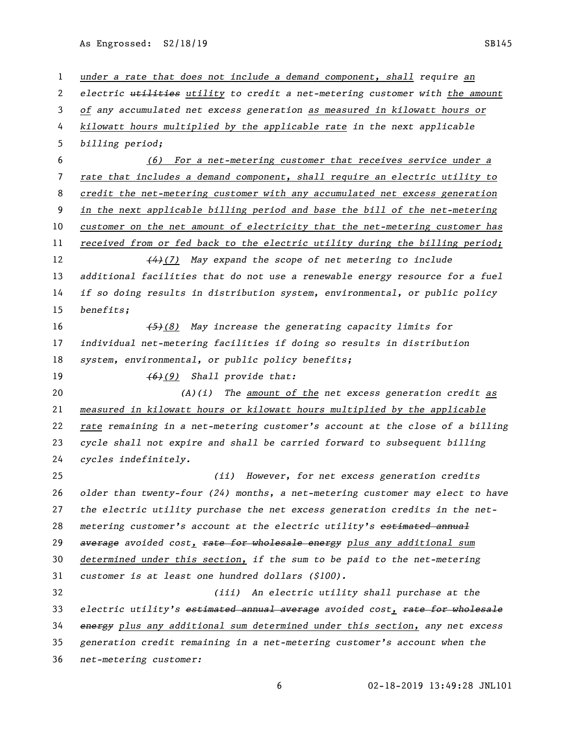As Engrossed: S2/18/19 SB145

 *under a rate that does not include a demand component, shall require an electric utilities utility to credit a net-metering customer with the amount of any accumulated net excess generation as measured in kilowatt hours or kilowatt hours multiplied by the applicable rate in the next applicable billing period; (6) For a net-metering customer that receives service under a rate that includes a demand component, shall require an electric utility to credit the net-metering customer with any accumulated net excess generation in the next applicable billing period and base the bill of the net-metering customer on the net amount of electricity that the net-metering customer has received from or fed back to the electric utility during the billing period; (4)(7) May expand the scope of net metering to include additional facilities that do not use a renewable energy resource for a fuel if so doing results in distribution system, environmental, or public policy benefits; (5)(8) May increase the generating capacity limits for individual net-metering facilities if doing so results in distribution system, environmental, or public policy benefits; (6)(9) Shall provide that: (A)(i) The amount of the net excess generation credit as measured in kilowatt hours or kilowatt hours multiplied by the applicable rate remaining in a net-metering customer's account at the close of a billing cycle shall not expire and shall be carried forward to subsequent billing cycles indefinitely. (ii) However, for net excess generation credits older than twenty-four (24) months, a net-metering customer may elect to have the electric utility purchase the net excess generation credits in the net- metering customer's account at the electric utility's estimated annual average avoided cost, rate for wholesale energy plus any additional sum determined under this section, if the sum to be paid to the net-metering customer is at least one hundred dollars (\$100). (iii) An electric utility shall purchase at the electric utility's estimated annual average avoided cost, rate for wholesale energy plus any additional sum determined under this section, any net excess generation credit remaining in a net-metering customer's account when the net-metering customer:*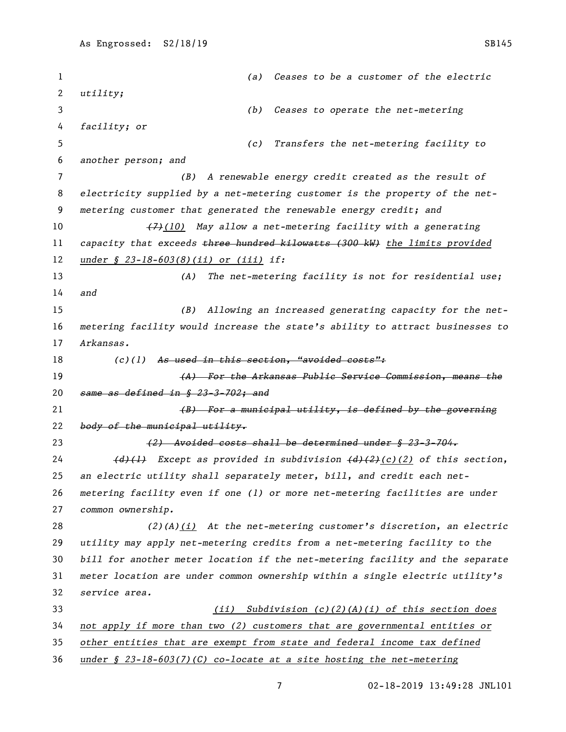*(a) Ceases to be a customer of the electric utility; (b) Ceases to operate the net-metering facility; or (c) Transfers the net-metering facility to another person; and (B) A renewable energy credit created as the result of electricity supplied by a net-metering customer is the property of the net- metering customer that generated the renewable energy credit; and (7)(10) May allow a net-metering facility with a generating capacity that exceeds three hundred kilowatts (300 kW) the limits provided under § 23-18-603(8)(ii) or (iii) if: (A) The net-metering facility is not for residential use; and (B) Allowing an increased generating capacity for the net- metering facility would increase the state's ability to attract businesses to Arkansas. (c)(1) As used in this section, "avoided costs": (A) For the Arkansas Public Service Commission, means the same as defined in § 23-3-702; and (B) For a municipal utility, is defined by the governing body of the municipal utility. (2) Avoided costs shall be determined under § 23-3-704. (d)(1) Except as provided in subdivision (d)(2)(c)(2) of this section, an electric utility shall separately meter, bill, and credit each net- metering facility even if one (1) or more net-metering facilities are under common ownership. (2)(A)(i) At the net-metering customer's discretion, an electric utility may apply net-metering credits from a net-metering facility to the bill for another meter location if the net-metering facility and the separate meter location are under common ownership within a single electric utility's service area. (ii) Subdivision (c)(2)(A)(i) of this section does not apply if more than two (2) customers that are governmental entities or other entities that are exempt from state and federal income tax defined under § 23-18-603(7)(C) co-locate at a site hosting the net-metering*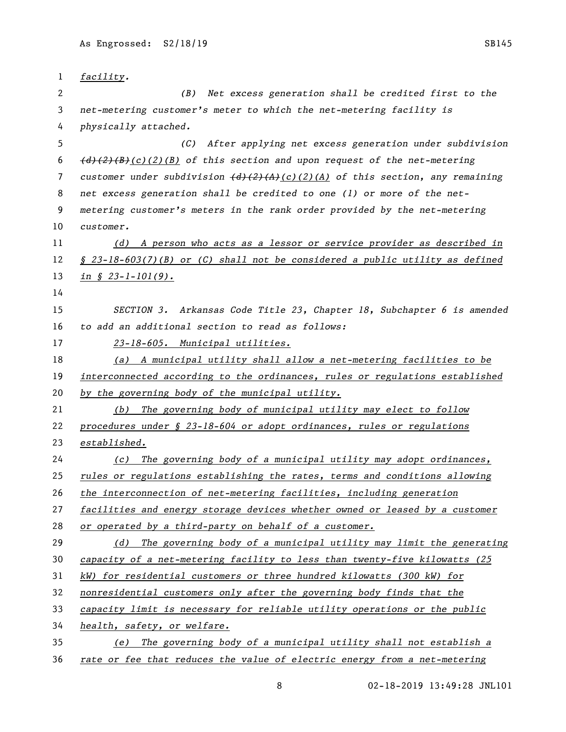| $\mathbf{1}$ | facility.                                                                                                                    |
|--------------|------------------------------------------------------------------------------------------------------------------------------|
| 2            | (B) Net excess generation shall be credited first to the                                                                     |
| 3            | net-metering customer's meter to which the net-metering facility is                                                          |
| 4            | physically attached.                                                                                                         |
| 5            | After applying net excess generation under subdivision<br>(C)                                                                |
| 6            | $\left(\frac{d}{2}(2)(B)(c)(1)$ of this section and upon request of the net-metering                                         |
| 7            | customer under subdivision $\left(\frac{d}{2}\right)\left(\frac{2}{4}\right)(c)(\frac{2}{4})$ of this section, any remaining |
| 8            | net excess generation shall be credited to one (1) or more of the net-                                                       |
| 9            | metering customer's meters in the rank order provided by the net-metering                                                    |
| 10           | customer.                                                                                                                    |
| 11           | (d) A person who acts as a lessor or service provider as described in                                                        |
| 12           | $\S$ 23-18-603(7)(B) or (C) shall not be considered a public utility as defined                                              |
| 13           | $in \$ $3-1-101(9)$ .                                                                                                        |
| 14           |                                                                                                                              |
| 15           | SECTION 3. Arkansas Code Title 23, Chapter 18, Subchapter 6 is amended                                                       |
| 16           | to add an additional section to read as follows:                                                                             |
| 17           | 23-18-605. Municipal utilities.                                                                                              |
| 18           | (a) A municipal utility shall allow a net-metering facilities to be                                                          |
| 19           | interconnected according to the ordinances, rules or regulations established                                                 |
| 20           | by the governing body of the municipal utility.                                                                              |
| 21           | The governing body of municipal utility may elect to follow<br>(b)                                                           |
| 22           | procedures under § 23-18-604 or adopt ordinances, rules or regulations                                                       |
| 23           | established.                                                                                                                 |
| 24           | The governing body of a municipal utility may adopt ordinances,<br>(c)                                                       |
| 25           | rules or regulations establishing the rates, terms and conditions allowing                                                   |
| 26           | the interconnection of net-metering facilities, including generation                                                         |
| 27           | facilities and energy storage devices whether owned or leased by a customer                                                  |
| 28           | or operated by a third-party on behalf of a customer.                                                                        |
| 29           | The governing body of a municipal utility may limit the generating<br>(d)                                                    |
| 30           | capacity of a net-metering facility to less than twenty-five kilowatts (25)                                                  |
| 31           | kW) for residential customers or three hundred kilowatts (300 kW) for                                                        |
| 32           | nonresidential customers only after the governing body finds that the                                                        |
| 33           | capacity limit is necessary for reliable utility operations or the public                                                    |
| 34           | health, safety, or welfare.                                                                                                  |
| 35           | The governing body of a municipal utility shall not establish a<br>(e)                                                       |
|              |                                                                                                                              |